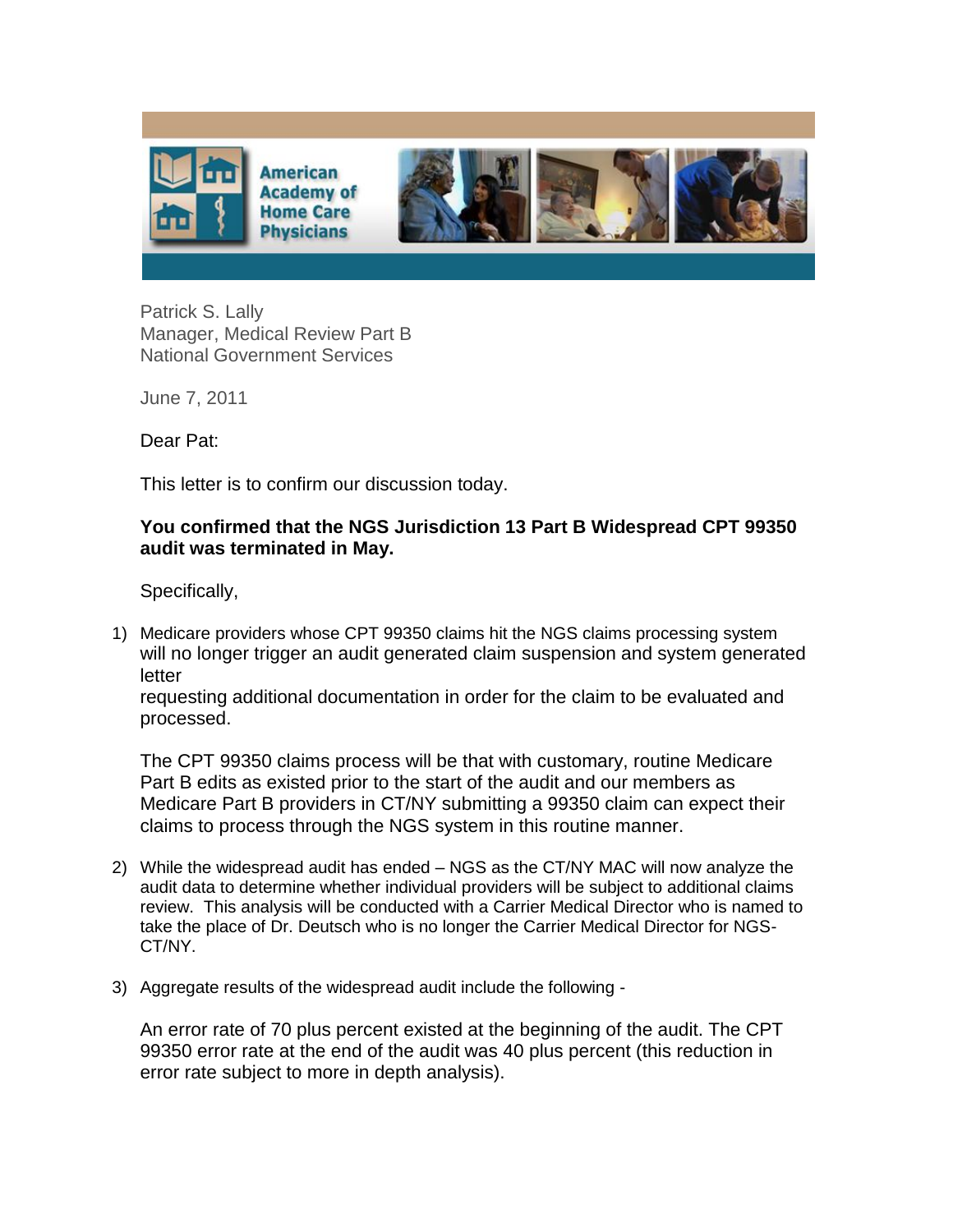

Patrick S. Lally Manager, Medical Review Part B National Government Services

June 7, 2011

Dear Pat:

This letter is to confirm our discussion today.

## **You confirmed that the NGS Jurisdiction 13 Part B Widespread CPT 99350 audit was terminated in May.**

Specifically,

1) Medicare providers whose CPT 99350 claims hit the NGS claims processing system will no longer trigger an audit generated claim suspension and system generated letter

requesting additional documentation in order for the claim to be evaluated and processed.

The CPT 99350 claims process will be that with customary, routine Medicare Part B edits as existed prior to the start of the audit and our members as Medicare Part B providers in CT/NY submitting a 99350 claim can expect their claims to process through the NGS system in this routine manner.

- 2) While the widespread audit has ended NGS as the CT/NY MAC will now analyze the audit data to determine whether individual providers will be subject to additional claims review. This analysis will be conducted with a Carrier Medical Director who is named to take the place of Dr. Deutsch who is no longer the Carrier Medical Director for NGS-CT/NY.
- 3) Aggregate results of the widespread audit include the following -

An error rate of 70 plus percent existed at the beginning of the audit. The CPT 99350 error rate at the end of the audit was 40 plus percent (this reduction in error rate subject to more in depth analysis).